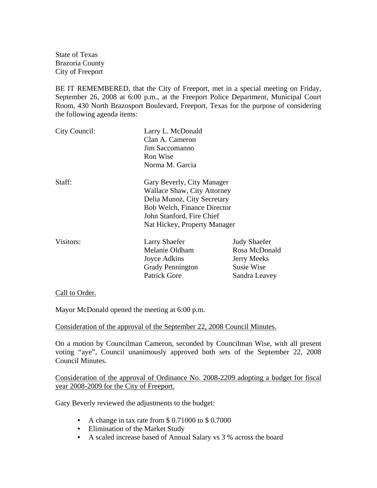State of Texas Brazoria County City of Freeport

BE IT REMEMBERED, that the City of Freeport, met in a special meeting on Friday, September 26, 2008 at 6:00 p.m., at the Freeport Police Department, Municipal Court Room, 430 North Brazosport Boulevard, Freeport, Texas for the purpose of considering the following agenda items:

| Clan A. Cameron                                                                                                                      |                     |  |
|--------------------------------------------------------------------------------------------------------------------------------------|---------------------|--|
|                                                                                                                                      |                     |  |
|                                                                                                                                      |                     |  |
|                                                                                                                                      |                     |  |
| Gary Beverly, City Manager                                                                                                           |                     |  |
| <b>Wallace Shaw, City Attorney</b><br>Delia Munoz, City Secretary<br><b>Bob Welch, Finance Director</b><br>John Stanford, Fire Chief |                     |  |
|                                                                                                                                      |                     |  |
|                                                                                                                                      | <b>Judy Shaefer</b> |  |
|                                                                                                                                      | Rosa McDonald       |  |
| <b>Jerry Meeks</b>                                                                                                                   |                     |  |
| Susie Wise                                                                                                                           |                     |  |
| Sandra Leavey                                                                                                                        |                     |  |
|                                                                                                                                      |                     |  |

Call to Order.

Mayor McDonald opened the meeting at 6:00 p.m.

## Consideration of the approval of the September 22, 2008 Council Minutes.

On a motion by Councilman Cameron, seconded by Councilman Wise, with all present voting "aye", Council unanimously approved both sets of the September 22, 2008 Council Minutes.

Consideration of the approval of Ordinance No. 2008-2209 adopting a budget for fiscal year 2008-2009 for the City of Freeport.

Gary Beverly reviewed the adjustments to the budget:

- A change in tax rate from \$ 0.71000 to \$ 0.7000
- Elimination of the Market Study
- A scaled increase based of Annual Salary vs 3 % across the board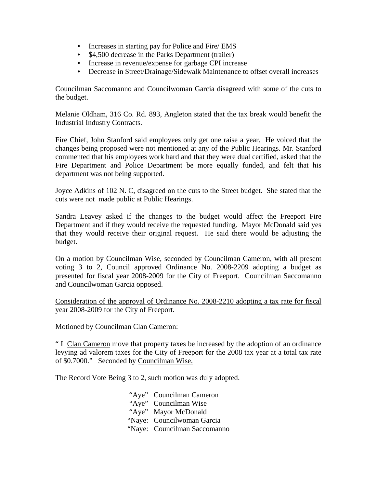- Increases in starting pay for Police and Fire/ EMS
- \$4,500 decrease in the Parks Department (trailer)
- Increase in revenue/expense for garbage CPI increase
- Decrease in Street/Drainage/Sidewalk Maintenance to offset overall increases

Councilman Saccomanno and Councilwoman Garcia disagreed with some of the cuts to the budget.

Melanie Oldham, 316 Co. Rd. 893, Angleton stated that the tax break would benefit the Industrial Industry Contracts.

Fire Chief, John Stanford said employees only get one raise a year. He voiced that the changes being proposed were not mentioned at any of the Public Hearings. Mr. Stanford commented that his employees work hard and that they were dual certified, asked that the Fire Department and Police Department be more equally funded, and felt that his department was not being supported.

Joyce Adkins of 102 N. C, disagreed on the cuts to the Street budget. She stated that the cuts were not made public at Public Hearings.

Sandra Leavey asked if the changes to the budget would affect the Freeport Fire Department and if they would receive the requested funding. Mayor McDonald said yes that they would receive their original request. He said there would be adjusting the budget.

On a motion by Councilman Wise, seconded by Councilman Cameron, with all present voting 3 to 2, Council approved Ordinance No. 2008-2209 adopting a budget as presented for fiscal year 2008-2009 for the City of Freeport. Councilman Saccomanno and Councilwoman Garcia opposed.

Consideration of the approval of Ordinance No. 2008-2210 adopting a tax rate for fiscal year 2008-2009 for the City of Freeport.

Motioned by Councilman Clan Cameron:

" I Clan Cameron move that property taxes be increased by the adoption of an ordinance levying ad valorem taxes for the City of Freeport for the 2008 tax year at a total tax rate of \$0.7000." Seconded by Councilman Wise.

The Record Vote Being 3 to 2, such motion was duly adopted.

 "Aye" Councilman Cameron "Aye" Councilman Wise "Aye" Mayor McDonald "Naye: Councilwoman Garcia "Naye: Councilman Saccomanno